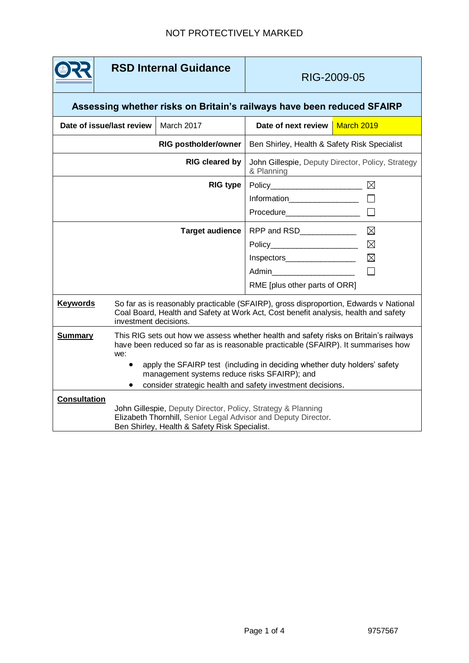## **RSD Internal Guidance**

## RIG-2009-05

## **Assessing whether risks on Britain's railways have been reduced SFAIRP**

| Date of issue/last review |                                                                                                                                                                                                       | March 2017                                                                                                                | Date of next review                                             | March 2019  |
|---------------------------|-------------------------------------------------------------------------------------------------------------------------------------------------------------------------------------------------------|---------------------------------------------------------------------------------------------------------------------------|-----------------------------------------------------------------|-------------|
|                           |                                                                                                                                                                                                       | <b>RIG postholder/owner</b>                                                                                               | Ben Shirley, Health & Safety Risk Specialist                    |             |
|                           |                                                                                                                                                                                                       | <b>RIG cleared by</b>                                                                                                     | John Gillespie, Deputy Director, Policy, Strategy<br>& Planning |             |
|                           |                                                                                                                                                                                                       | <b>RIG type</b>                                                                                                           | Policy_______________________                                   | ⊠           |
|                           |                                                                                                                                                                                                       |                                                                                                                           |                                                                 |             |
|                           |                                                                                                                                                                                                       |                                                                                                                           | Procedure____________________                                   |             |
|                           |                                                                                                                                                                                                       | <b>Target audience</b>                                                                                                    | RPP and RSD_____________                                        | ⊠           |
|                           |                                                                                                                                                                                                       |                                                                                                                           |                                                                 | $\boxtimes$ |
|                           |                                                                                                                                                                                                       |                                                                                                                           | Inspectors____________________                                  | $\boxtimes$ |
|                           |                                                                                                                                                                                                       |                                                                                                                           | Admin <b>Administration</b>                                     |             |
|                           |                                                                                                                                                                                                       |                                                                                                                           | RME [plus other parts of ORR]                                   |             |
| <b>Keywords</b>           | So far as is reasonably practicable (SFAIRP), gross disproportion, Edwards v National<br>Coal Board, Health and Safety at Work Act, Cost benefit analysis, health and safety<br>investment decisions. |                                                                                                                           |                                                                 |             |
| <b>Summary</b>            | This RIG sets out how we assess whether health and safety risks on Britain's railways<br>have been reduced so far as is reasonable practicable (SFAIRP). It summarises how<br>we:                     |                                                                                                                           |                                                                 |             |
|                           |                                                                                                                                                                                                       | apply the SFAIRP test (including in deciding whether duty holders' safety<br>management systems reduce risks SFAIRP); and |                                                                 |             |
|                           |                                                                                                                                                                                                       | consider strategic health and safety investment decisions.                                                                |                                                                 |             |
| <b>Consultation</b>       | John Gillespie, Deputy Director, Policy, Strategy & Planning<br>Elizabeth Thornhill, Senior Legal Advisor and Deputy Director.<br>Ben Shirley, Health & Safety Risk Specialist.                       |                                                                                                                           |                                                                 |             |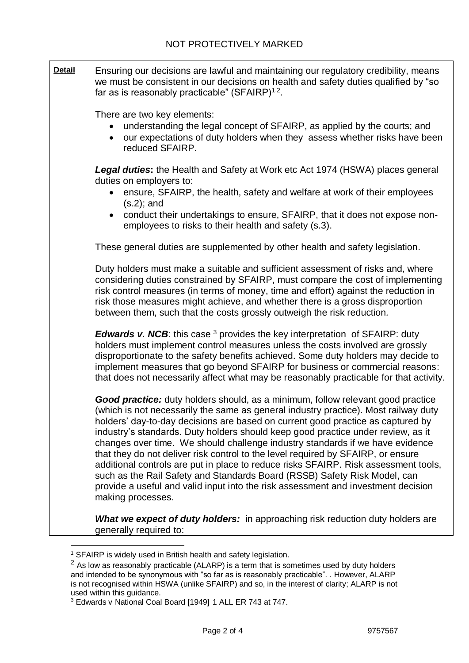**Detail** Ensuring our decisions are lawful and maintaining our regulatory credibility, means we must be consistent in our decisions on health and safety duties qualified by "so far as is reasonably practicable" (SFAIRP) $1,2$ . There are two key elements: understanding the legal concept of SFAIRP, as applied by the courts; and our expectations of duty holders when they assess whether risks have been reduced SFAIRP. *Legal duties***:** the Health and Safety at Work etc Act 1974 (HSWA) places general duties on employers to: • ensure, SFAIRP, the health, safety and welfare at work of their employees (s.2); and conduct their undertakings to ensure, SFAIRP, that it does not expose nonemployees to risks to their health and safety (s.3). These general duties are supplemented by other health and safety legislation. Duty holders must make a suitable and sufficient assessment of risks and, where considering duties constrained by SFAIRP, must compare the cost of implementing risk control measures (in terms of money, time and effort) against the reduction in risk those measures might achieve, and whether there is a gross disproportion between them, such that the costs grossly outweigh the risk reduction*. Edwards v. NCB*: this case <sup>3</sup> provides the key interpretation of SFAIRP: duty holders must implement control measures unless the costs involved are grossly disproportionate to the safety benefits achieved. Some duty holders may decide to implement measures that go beyond SFAIRP for business or commercial reasons: that does not necessarily affect what may be reasonably practicable for that activity. *Good practice:* duty holders should, as a minimum, follow relevant good practice (which is not necessarily the same as general industry practice). Most railway duty holders' day-to-day decisions are based on current good practice as captured by industry's standards. Duty holders should keep good practice under review, as it changes over time. We should challenge industry standards if we have evidence that they do not deliver risk control to the level required by SFAIRP, or ensure additional controls are put in place to reduce risks SFAIRP. Risk assessment tools, such as the Rail Safety and Standards Board (RSSB) Safety Risk Model, can provide a useful and valid input into the risk assessment and investment decision making processes. **What we expect of duty holders:** in approaching risk reduction duty holders are generally required to:

l

<sup>&</sup>lt;sup>1</sup> SFAIRP is widely used in British health and safety legislation.

 $2$  As low as reasonably practicable (ALARP) is a term that is sometimes used by duty holders and intended to be synonymous with "so far as is reasonably practicable". . However, ALARP is not recognised within HSWA (unlike SFAIRP) and so, in the interest of clarity; ALARP is not used within this guidance.

<sup>3</sup> Edwards v National Coal Board [1949] 1 ALL ER 743 at 747.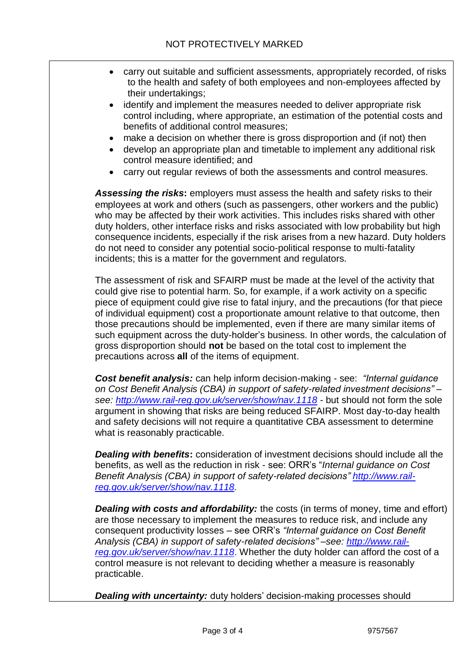- carry out suitable and sufficient assessments, appropriately recorded, of risks to the health and safety of both employees and non-employees affected by their undertakings;
- identify and implement the measures needed to deliver appropriate risk control including, where appropriate, an estimation of the potential costs and benefits of additional control measures;
- make a decision on whether there is gross disproportion and (if not) then
- develop an appropriate plan and timetable to implement any additional risk control measure identified; and
- carry out regular reviews of both the assessments and control measures.

Assessing the risks: employers must assess the health and safety risks to their employees at work and others (such as passengers, other workers and the public) who may be affected by their work activities. This includes risks shared with other duty holders, other interface risks and risks associated with low probability but high consequence incidents, especially if the risk arises from a new hazard. Duty holders do not need to consider any potential socio-political response to multi-fatality incidents; this is a matter for the government and regulators.

The assessment of risk and SFAIRP must be made at the level of the activity that could give rise to potential harm. So, for example, if a work activity on a specific piece of equipment could give rise to fatal injury, and the precautions (for that piece of individual equipment) cost a proportionate amount relative to that outcome, then those precautions should be implemented, even if there are many similar items of such equipment across the duty-holder's business. In other words, the calculation of gross disproportion should **not** be based on the total cost to implement the precautions across **all** of the items of equipment.

*Cost benefit analysis:* can help inform decision-making - see: *"Internal guidance on Cost Benefit Analysis (CBA) in support of safety-related investment decisions" – see: <http://www.rail-reg.gov.uk/server/show/nav.1118> -* but should not form the sole argument in showing that risks are being reduced SFAIRP. Most day-to-day health and safety decisions will not require a quantitative CBA assessment to determine what is reasonably practicable.

*Dealing with benefits***:** consideration of investment decisions should include all the benefits, as well as the reduction in risk - see: ORR's "*Internal guidance on Cost Benefit Analysis (CBA) in support of safety-related decisions" [http://www.rail](http://www.rail-reg.gov.uk/server/show/nav.1118)[reg.gov.uk/server/show/nav.1118.](http://www.rail-reg.gov.uk/server/show/nav.1118)* 

**Dealing with costs and affordability:** the costs (in terms of money, time and effort) are those necessary to implement the measures to reduce risk, and include any consequent productivity losses – see ORR's *"Internal guidance on Cost Benefit Analysis (CBA) in support of safety-related decisions" –see: [http://www.rail](http://www.rail-reg.gov.uk/server/show/nav.1118)[reg.gov.uk/server/show/nav.1118](http://www.rail-reg.gov.uk/server/show/nav.1118)*. Whether the duty holder can afford the cost of a control measure is not relevant to deciding whether a measure is reasonably practicable.

*Dealing with uncertainty:* duty holders' decision-making processes should